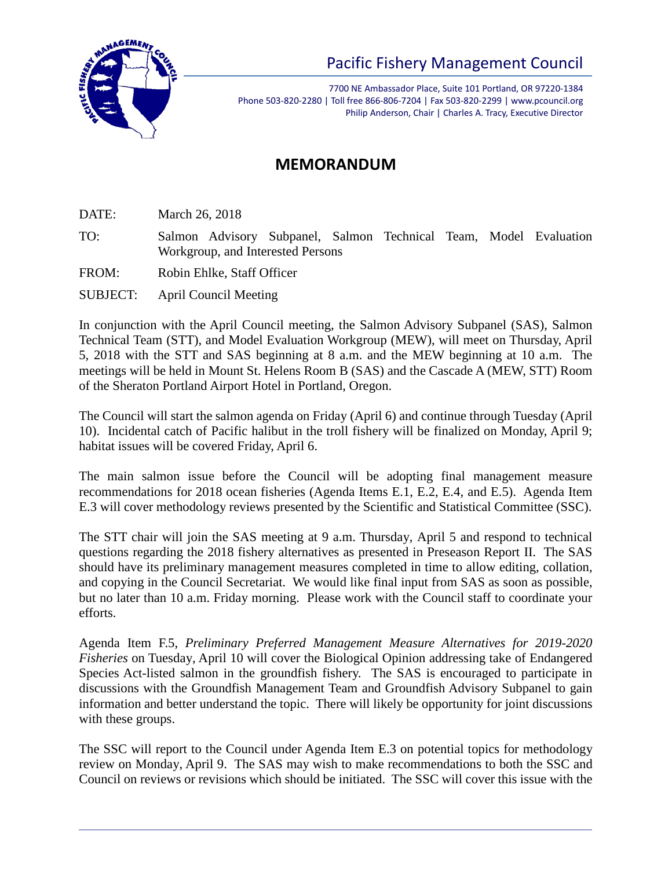

7700 NE Ambassador Place, Suite 101 Portland, OR 97220-1384 Phone 503-820-2280 | Toll free 866-806-7204 | Fax 503-820-2299 | www.pcouncil.org Philip Anderson, Chair | Charles A. Tracy, Executive Director

## **MEMORANDUM**

DATE: March 26, 2018

TO: Salmon Advisory Subpanel, Salmon Technical Team, Model Evaluation Workgroup, and Interested Persons

FROM: Robin Ehlke, Staff Officer

SUBJECT: April Council Meeting

In conjunction with the April Council meeting, the Salmon Advisory Subpanel (SAS), Salmon Technical Team (STT), and Model Evaluation Workgroup (MEW), will meet on Thursday, April 5, 2018 with the STT and SAS beginning at 8 a.m. and the MEW beginning at 10 a.m. The meetings will be held in Mount St. Helens Room B (SAS) and the Cascade A (MEW, STT) Room of the Sheraton Portland Airport Hotel in Portland, Oregon.

The Council will start the salmon agenda on Friday (April 6) and continue through Tuesday (April 10). Incidental catch of Pacific halibut in the troll fishery will be finalized on Monday, April 9; habitat issues will be covered Friday, April 6.

The main salmon issue before the Council will be adopting final management measure recommendations for 2018 ocean fisheries (Agenda Items E.1, E.2, E.4, and E.5). Agenda Item E.3 will cover methodology reviews presented by the Scientific and Statistical Committee (SSC).

The STT chair will join the SAS meeting at 9 a.m. Thursday, April 5 and respond to technical questions regarding the 2018 fishery alternatives as presented in Preseason Report II. The SAS should have its preliminary management measures completed in time to allow editing, collation, and copying in the Council Secretariat. We would like final input from SAS as soon as possible, but no later than 10 a.m. Friday morning. Please work with the Council staff to coordinate your efforts.

Agenda Item F.5, *Preliminary Preferred Management Measure Alternatives for 2019-2020 Fisheries* on Tuesday, April 10 will cover the Biological Opinion addressing take of Endangered Species Act-listed salmon in the groundfish fishery. The SAS is encouraged to participate in discussions with the Groundfish Management Team and Groundfish Advisory Subpanel to gain information and better understand the topic. There will likely be opportunity for joint discussions with these groups.

The SSC will report to the Council under Agenda Item E.3 on potential topics for methodology review on Monday, April 9. The SAS may wish to make recommendations to both the SSC and Council on reviews or revisions which should be initiated. The SSC will cover this issue with the